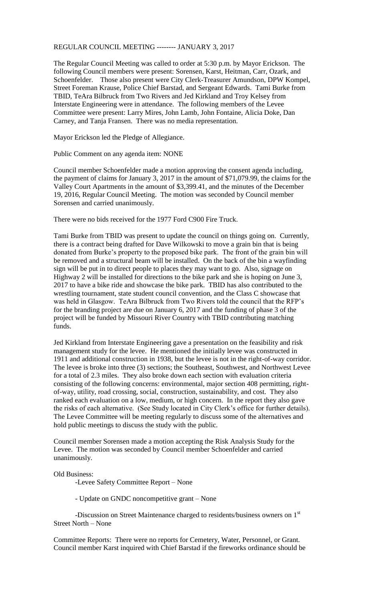REGULAR COUNCIL MEETING -------- JANUARY 3, 2017

The Regular Council Meeting was called to order at 5:30 p.m. by Mayor Erickson. The following Council members were present: Sorensen, Karst, Heitman, Carr, Ozark, and Schoenfelder. Those also present were City Clerk-Treasurer Amundson, DPW Kompel, Street Foreman Krause, Police Chief Barstad, and Sergeant Edwards. Tami Burke from TBID, TeAra Bilbruck from Two Rivers and Jed Kirkland and Troy Kelsey from Interstate Engineering were in attendance. The following members of the Levee Committee were present: Larry Mires, John Lamb, John Fontaine, Alicia Doke, Dan Carney, and Tanja Fransen. There was no media representation.

Mayor Erickson led the Pledge of Allegiance.

Public Comment on any agenda item: NONE

Council member Schoenfelder made a motion approving the consent agenda including, the payment of claims for January 3, 2017 in the amount of \$71,079.99, the claims for the Valley Court Apartments in the amount of \$3,399.41, and the minutes of the December 19, 2016, Regular Council Meeting. The motion was seconded by Council member Sorensen and carried unanimously.

There were no bids received for the 1977 Ford C900 Fire Truck.

Tami Burke from TBID was present to update the council on things going on. Currently, there is a contract being drafted for Dave Wilkowski to move a grain bin that is being donated from Burke's property to the proposed bike park. The front of the grain bin will be removed and a structural beam will be installed. On the back of the bin a wayfinding sign will be put in to direct people to places they may want to go. Also, signage on Highway 2 will be installed for directions to the bike park and she is hoping on June 3, 2017 to have a bike ride and showcase the bike park. TBID has also contributed to the wrestling tournament, state student council convention, and the Class C showcase that was held in Glasgow. TeAra Bilbruck from Two Rivers told the council that the RFP's for the branding project are due on January 6, 2017 and the funding of phase 3 of the project will be funded by Missouri River Country with TBID contributing matching funds.

Jed Kirkland from Interstate Engineering gave a presentation on the feasibility and risk management study for the levee. He mentioned the initially levee was constructed in 1911 and additional construction in 1938, but the levee is not in the right-of-way corridor. The levee is broke into three (3) sections; the Southeast, Southwest, and Northwest Levee for a total of 2.3 miles. They also broke down each section with evaluation criteria consisting of the following concerns: environmental, major section 408 permitting, rightof-way, utility, road crossing, social, construction, sustainability, and cost. They also ranked each evaluation on a low, medium, or high concern. In the report they also gave the risks of each alternative. (See Study located in City Clerk's office for further details). The Levee Committee will be meeting regularly to discuss some of the alternatives and hold public meetings to discuss the study with the public.

Council member Sorensen made a motion accepting the Risk Analysis Study for the Levee. The motion was seconded by Council member Schoenfelder and carried unanimously.

Old Business:

-Levee Safety Committee Report – None

- Update on GNDC noncompetitive grant – None

-Discussion on Street Maintenance charged to residents/business owners on 1st Street North – None

Committee Reports: There were no reports for Cemetery, Water, Personnel, or Grant. Council member Karst inquired with Chief Barstad if the fireworks ordinance should be